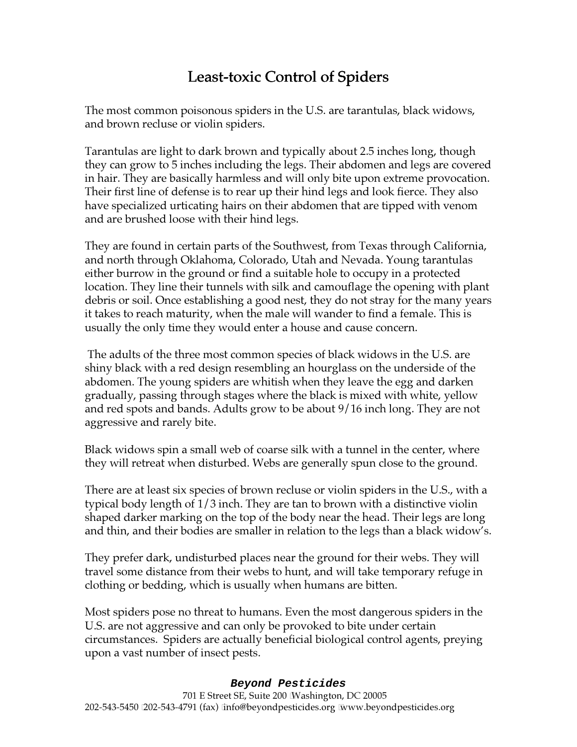# Least-toxic Control of Spiders

The most common poisonous spiders in the U.S. are tarantulas, black widows, and brown recluse or violin spiders.

Tarantulas are light to dark brown and typically about 2.5 inches long, though they can grow to 5 inches including the legs. Their abdomen and legs are covered in hair. They are basically harmless and will only bite upon extreme provocation. Their first line of defense is to rear up their hind legs and look fierce. They also have specialized urticating hairs on their abdomen that are tipped with venom and are brushed loose with their hind legs.

They are found in certain parts of the Southwest, from Texas through California, and north through Oklahoma, Colorado, Utah and Nevada. Young tarantulas either burrow in the ground or find a suitable hole to occupy in a protected location. They line their tunnels with silk and camouflage the opening with plant debris or soil. Once establishing a good nest, they do not stray for the many years it takes to reach maturity, when the male will wander to find a female. This is usually the only time they would enter a house and cause concern.

 The adults of the three most common species of black widows in the U.S. are shiny black with a red design resembling an hourglass on the underside of the abdomen. The young spiders are whitish when they leave the egg and darken gradually, passing through stages where the black is mixed with white, yellow and red spots and bands. Adults grow to be about 9/16 inch long. They are not aggressive and rarely bite.

Black widows spin a small web of coarse silk with a tunnel in the center, where they will retreat when disturbed. Webs are generally spun close to the ground.

There are at least six species of brown recluse or violin spiders in the U.S., with a typical body length of 1/3 inch. They are tan to brown with a distinctive violin shaped darker marking on the top of the body near the head. Their legs are long and thin, and their bodies are smaller in relation to the legs than a black widow's.

They prefer dark, undisturbed places near the ground for their webs. They will travel some distance from their webs to hunt, and will take temporary refuge in clothing or bedding, which is usually when humans are bitten.

Most spiders pose no threat to humans. Even the most dangerous spiders in the U.S. are not aggressive and can only be provoked to bite under certain circumstances. Spiders are actually beneficial biological control agents, preying upon a vast number of insect pests.

## **Beyond Pesticides**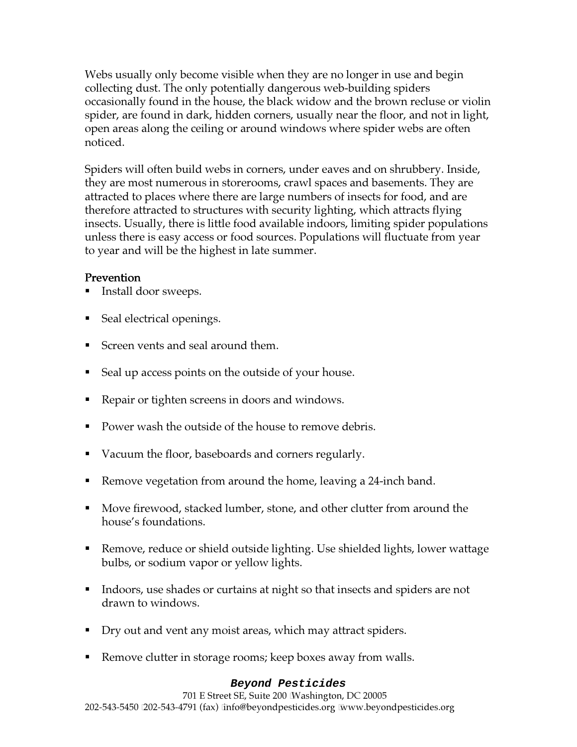Webs usually only become visible when they are no longer in use and begin collecting dust. The only potentially dangerous web-building spiders occasionally found in the house, the black widow and the brown recluse or violin spider, are found in dark, hidden corners, usually near the floor, and not in light, open areas along the ceiling or around windows where spider webs are often noticed.

Spiders will often build webs in corners, under eaves and on shrubbery. Inside, they are most numerous in storerooms, crawl spaces and basements. They are attracted to places where there are large numbers of insects for food, and are therefore attracted to structures with security lighting, which attracts flying insects. Usually, there is little food available indoors, limiting spider populations unless there is easy access or food sources. Populations will fluctuate from year to year and will be the highest in late summer.

## Prevention

- Install door sweeps.
- Seal electrical openings.
- Screen vents and seal around them.
- Seal up access points on the outside of your house.
- Repair or tighten screens in doors and windows.
- **Power wash the outside of the house to remove debris.**
- Vacuum the floor, baseboards and corners regularly.
- Remove vegetation from around the home, leaving a 24-inch band.
- Move firewood, stacked lumber, stone, and other clutter from around the house's foundations.
- Remove, reduce or shield outside lighting. Use shielded lights, lower wattage bulbs, or sodium vapor or yellow lights.
- Indoors, use shades or curtains at night so that insects and spiders are not drawn to windows.
- Dry out and vent any moist areas, which may attract spiders.
- Remove clutter in storage rooms; keep boxes away from walls.

#### **Beyond Pesticides**

701 E Street SE, Suite 200 Washington, DC 20005 202-543-5450 202-543-4791 (fax) info@beyondpesticides.org www.beyondpesticides.org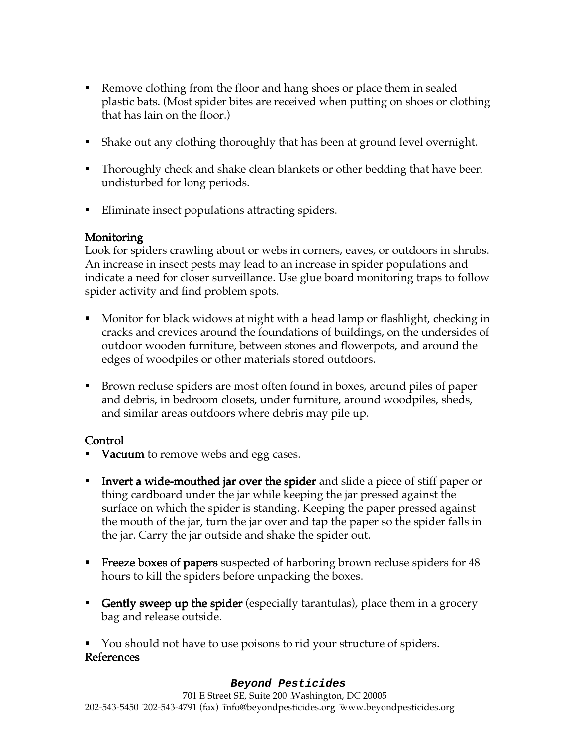- Remove clothing from the floor and hang shoes or place them in sealed plastic bats. (Most spider bites are received when putting on shoes or clothing that has lain on the floor.)
- Shake out any clothing thoroughly that has been at ground level overnight.
- Thoroughly check and shake clean blankets or other bedding that have been undisturbed for long periods.
- **Eliminate insect populations attracting spiders.**

## Monitoring

Look for spiders crawling about or webs in corners, eaves, or outdoors in shrubs. An increase in insect pests may lead to an increase in spider populations and indicate a need for closer surveillance. Use glue board monitoring traps to follow spider activity and find problem spots.

- Monitor for black widows at night with a head lamp or flashlight, checking in cracks and crevices around the foundations of buildings, on the undersides of outdoor wooden furniture, between stones and flowerpots, and around the edges of woodpiles or other materials stored outdoors.
- Brown recluse spiders are most often found in boxes, around piles of paper and debris, in bedroom closets, under furniture, around woodpiles, sheds, and similar areas outdoors where debris may pile up.

# Control

- Vacuum to remove webs and egg cases.
- **IDED** Invert a wide-mouthed jar over the spider and slide a piece of stiff paper or thing cardboard under the jar while keeping the jar pressed against the surface on which the spider is standing. Keeping the paper pressed against the mouth of the jar, turn the jar over and tap the paper so the spider falls in the jar. Carry the jar outside and shake the spider out.
- **Freeze boxes of papers** suspected of harboring brown recluse spiders for  $48$ hours to kill the spiders before unpacking the boxes.
- Gently sweep up the spider (especially tarantulas), place them in a grocery bag and release outside.
- You should not have to use poisons to rid your structure of spiders. **References**

#### **Beyond Pesticides**